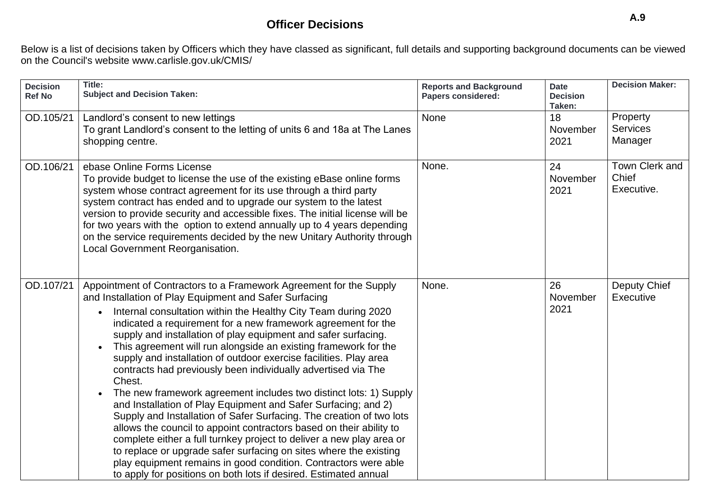## **Officer Decisions**

Below is a list of decisions taken by Officers which they have classed as significant, full details and supporting background documents can be viewe[d](http://www.carlisle.gov.uk/CMIS/) [on the Council's website www.carlisle.gov.uk/CMIS/](http://www.carlisle.gov.uk/CMIS/)

| <b>Decision</b><br><b>Ref No</b> | Title:<br><b>Subject and Decision Taken:</b>                                                                                                                                                                                                                                                                                                                                                                                                                                                                                                                                                                                                                                                                                                                                                                                                                                                                                                                                                                                                                                                                                   | <b>Reports and Background</b><br><b>Papers considered:</b> | <b>Date</b><br><b>Decision</b><br>Taken: | <b>Decision Maker:</b>                 |
|----------------------------------|--------------------------------------------------------------------------------------------------------------------------------------------------------------------------------------------------------------------------------------------------------------------------------------------------------------------------------------------------------------------------------------------------------------------------------------------------------------------------------------------------------------------------------------------------------------------------------------------------------------------------------------------------------------------------------------------------------------------------------------------------------------------------------------------------------------------------------------------------------------------------------------------------------------------------------------------------------------------------------------------------------------------------------------------------------------------------------------------------------------------------------|------------------------------------------------------------|------------------------------------------|----------------------------------------|
| OD.105/21                        | Landlord's consent to new lettings<br>To grant Landlord's consent to the letting of units 6 and 18a at The Lanes<br>shopping centre.                                                                                                                                                                                                                                                                                                                                                                                                                                                                                                                                                                                                                                                                                                                                                                                                                                                                                                                                                                                           | None                                                       | 18<br>November<br>2021                   | Property<br><b>Services</b><br>Manager |
| OD.106/21                        | ebase Online Forms License<br>To provide budget to license the use of the existing eBase online forms<br>system whose contract agreement for its use through a third party<br>system contract has ended and to upgrade our system to the latest<br>version to provide security and accessible fixes. The initial license will be<br>for two years with the option to extend annually up to 4 years depending<br>on the service requirements decided by the new Unitary Authority through<br>Local Government Reorganisation.                                                                                                                                                                                                                                                                                                                                                                                                                                                                                                                                                                                                   | None.                                                      | 24<br>November<br>2021                   | Town Clerk and<br>Chief<br>Executive.  |
| OD.107/21                        | Appointment of Contractors to a Framework Agreement for the Supply<br>and Installation of Play Equipment and Safer Surfacing<br>Internal consultation within the Healthy City Team during 2020<br>indicated a requirement for a new framework agreement for the<br>supply and installation of play equipment and safer surfacing.<br>This agreement will run alongside an existing framework for the<br>supply and installation of outdoor exercise facilities. Play area<br>contracts had previously been individually advertised via The<br>Chest.<br>The new framework agreement includes two distinct lots: 1) Supply<br>and Installation of Play Equipment and Safer Surfacing; and 2)<br>Supply and Installation of Safer Surfacing. The creation of two lots<br>allows the council to appoint contractors based on their ability to<br>complete either a full turnkey project to deliver a new play area or<br>to replace or upgrade safer surfacing on sites where the existing<br>play equipment remains in good condition. Contractors were able<br>to apply for positions on both lots if desired. Estimated annual | None.                                                      | 26<br>November<br>2021                   | Deputy Chief<br>Executive              |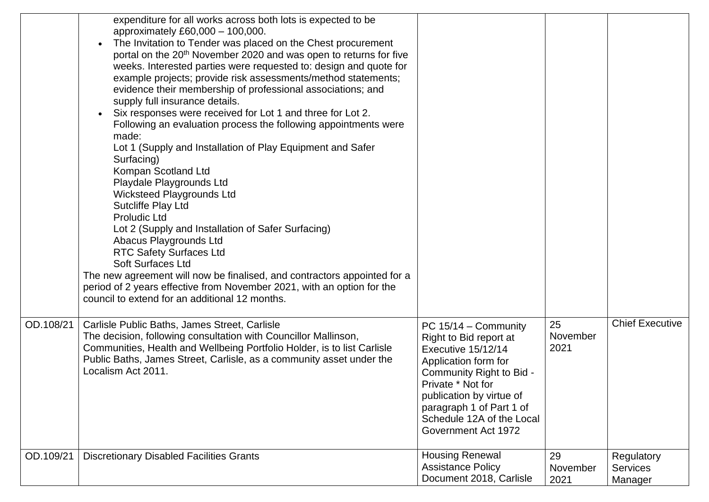|           | expenditure for all works across both lots is expected to be<br>approximately £60,000 - 100,000.<br>The Invitation to Tender was placed on the Chest procurement<br>$\bullet$<br>portal on the 20 <sup>th</sup> November 2020 and was open to returns for five<br>weeks. Interested parties were requested to: design and quote for<br>example projects; provide risk assessments/method statements;<br>evidence their membership of professional associations; and<br>supply full insurance details.<br>Six responses were received for Lot 1 and three for Lot 2.<br>$\bullet$<br>Following an evaluation process the following appointments were<br>made:<br>Lot 1 (Supply and Installation of Play Equipment and Safer<br>Surfacing)<br>Kompan Scotland Ltd<br>Playdale Playgrounds Ltd<br><b>Wicksteed Playgrounds Ltd</b><br>Sutcliffe Play Ltd<br><b>Proludic Ltd</b><br>Lot 2 (Supply and Installation of Safer Surfacing)<br>Abacus Playgrounds Ltd<br><b>RTC Safety Surfaces Ltd</b><br><b>Soft Surfaces Ltd</b><br>The new agreement will now be finalised, and contractors appointed for a<br>period of 2 years effective from November 2021, with an option for the<br>council to extend for an additional 12 months. |                                                                                                                                                                                                                                                             |                        |                                          |
|-----------|------------------------------------------------------------------------------------------------------------------------------------------------------------------------------------------------------------------------------------------------------------------------------------------------------------------------------------------------------------------------------------------------------------------------------------------------------------------------------------------------------------------------------------------------------------------------------------------------------------------------------------------------------------------------------------------------------------------------------------------------------------------------------------------------------------------------------------------------------------------------------------------------------------------------------------------------------------------------------------------------------------------------------------------------------------------------------------------------------------------------------------------------------------------------------------------------------------------------------------|-------------------------------------------------------------------------------------------------------------------------------------------------------------------------------------------------------------------------------------------------------------|------------------------|------------------------------------------|
| OD.108/21 | Carlisle Public Baths, James Street, Carlisle<br>The decision, following consultation with Councillor Mallinson,<br>Communities, Health and Wellbeing Portfolio Holder, is to list Carlisle<br>Public Baths, James Street, Carlisle, as a community asset under the<br>Localism Act 2011.                                                                                                                                                                                                                                                                                                                                                                                                                                                                                                                                                                                                                                                                                                                                                                                                                                                                                                                                          | PC $15/14$ – Community<br>Right to Bid report at<br>Executive 15/12/14<br>Application form for<br>Community Right to Bid -<br>Private * Not for<br>publication by virtue of<br>paragraph 1 of Part 1 of<br>Schedule 12A of the Local<br>Government Act 1972 | 25<br>November<br>2021 | <b>Chief Executive</b>                   |
| OD.109/21 | <b>Discretionary Disabled Facilities Grants</b>                                                                                                                                                                                                                                                                                                                                                                                                                                                                                                                                                                                                                                                                                                                                                                                                                                                                                                                                                                                                                                                                                                                                                                                    | <b>Housing Renewal</b><br><b>Assistance Policy</b><br>Document 2018, Carlisle                                                                                                                                                                               | 29<br>November<br>2021 | Regulatory<br><b>Services</b><br>Manager |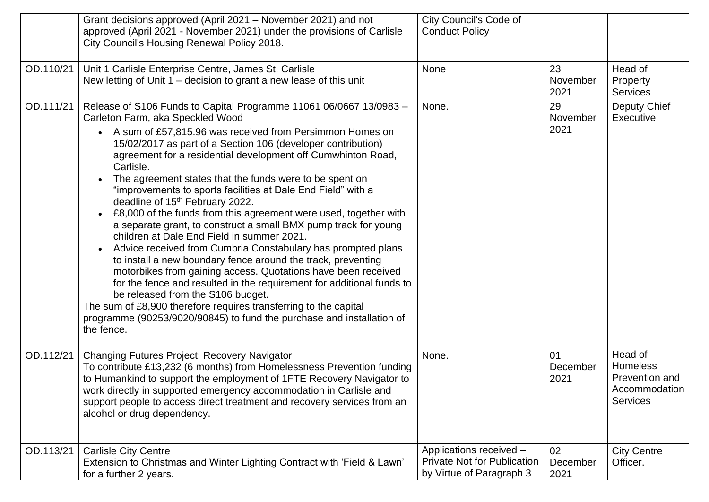|           | Grant decisions approved (April 2021 – November 2021) and not<br>approved (April 2021 - November 2021) under the provisions of Carlisle<br>City Council's Housing Renewal Policy 2018.                                                                                                                                                                                                                                                                                                                                                                                                                                                                                                                                                                                                                                                                                                                                                                                                                                                                                                                                                                     | City Council's Code of<br><b>Conduct Policy</b>                                           |                        |                                                                                  |
|-----------|------------------------------------------------------------------------------------------------------------------------------------------------------------------------------------------------------------------------------------------------------------------------------------------------------------------------------------------------------------------------------------------------------------------------------------------------------------------------------------------------------------------------------------------------------------------------------------------------------------------------------------------------------------------------------------------------------------------------------------------------------------------------------------------------------------------------------------------------------------------------------------------------------------------------------------------------------------------------------------------------------------------------------------------------------------------------------------------------------------------------------------------------------------|-------------------------------------------------------------------------------------------|------------------------|----------------------------------------------------------------------------------|
| OD.110/21 | Unit 1 Carlisle Enterprise Centre, James St, Carlisle<br>New letting of Unit 1 - decision to grant a new lease of this unit                                                                                                                                                                                                                                                                                                                                                                                                                                                                                                                                                                                                                                                                                                                                                                                                                                                                                                                                                                                                                                | None                                                                                      | 23<br>November<br>2021 | Head of<br>Property<br><b>Services</b>                                           |
| OD.111/21 | Release of S106 Funds to Capital Programme 11061 06/0667 13/0983 -<br>Carleton Farm, aka Speckled Wood<br>• A sum of £57,815.96 was received from Persimmon Homes on<br>15/02/2017 as part of a Section 106 (developer contribution)<br>agreement for a residential development off Cumwhinton Road,<br>Carlisle.<br>The agreement states that the funds were to be spent on<br>"improvements to sports facilities at Dale End Field" with a<br>deadline of 15 <sup>th</sup> February 2022.<br>£8,000 of the funds from this agreement were used, together with<br>a separate grant, to construct a small BMX pump track for young<br>children at Dale End Field in summer 2021.<br>Advice received from Cumbria Constabulary has prompted plans<br>to install a new boundary fence around the track, preventing<br>motorbikes from gaining access. Quotations have been received<br>for the fence and resulted in the requirement for additional funds to<br>be released from the S106 budget.<br>The sum of £8,900 therefore requires transferring to the capital<br>programme (90253/9020/90845) to fund the purchase and installation of<br>the fence. | None.                                                                                     | 29<br>November<br>2021 | Deputy Chief<br>Executive                                                        |
| OD.112/21 | Changing Futures Project: Recovery Navigator<br>To contribute £13,232 (6 months) from Homelessness Prevention funding<br>to Humankind to support the employment of 1FTE Recovery Navigator to<br>work directly in supported emergency accommodation in Carlisle and<br>support people to access direct treatment and recovery services from an<br>alcohol or drug dependency.                                                                                                                                                                                                                                                                                                                                                                                                                                                                                                                                                                                                                                                                                                                                                                              | None.                                                                                     | 01<br>December<br>2021 | Head of<br><b>Homeless</b><br>Prevention and<br>Accommodation<br><b>Services</b> |
| OD.113/21 | <b>Carlisle City Centre</b><br>Extension to Christmas and Winter Lighting Contract with 'Field & Lawn'<br>for a further 2 years.                                                                                                                                                                                                                                                                                                                                                                                                                                                                                                                                                                                                                                                                                                                                                                                                                                                                                                                                                                                                                           | Applications received -<br><b>Private Not for Publication</b><br>by Virtue of Paragraph 3 | 02<br>December<br>2021 | <b>City Centre</b><br>Officer.                                                   |